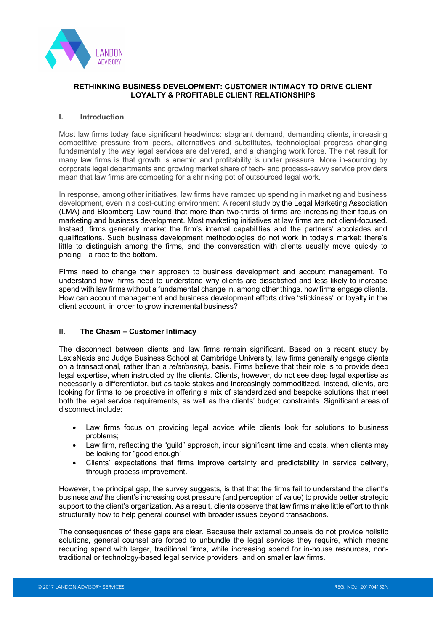

### **RETHINKING BUSINESS DEVELOPMENT: CUSTOMER INTIMACY TO DRIVE CLIENT LOYALTY & PROFITABLE CLIENT RELATIONSHIPS**

#### **I. Introduction**

Most law firms today face significant headwinds: stagnant demand, demanding clients, increasing competitive pressure from peers, alternatives and substitutes, technological progress changing fundamentally the way legal services are delivered, and a changing work force. The net result for many law firms is that growth is anemic and profitability is under pressure. More in-sourcing by corporate legal departments and growing market share of tech- and process-savvy service providers mean that law firms are competing for a shrinking pot of outsourced legal work.

In response, among other initiatives, law firms have ramped up spending in marketing and business development, even in a cost-cutting environment. A recent study by the Legal Marketing Association (LMA) and Bloomberg Law found that more than two-thirds of firms are increasing their focus on marketing and business development. Most marketing initiatives at law firms are not client-focused. Instead, firms generally market the firm's internal capabilities and the partners' accolades and qualifications. Such business development methodologies do not work in today's market; there's little to distinguish among the firms, and the conversation with clients usually move quickly to pricing—a race to the bottom.

Firms need to change their approach to business development and account management. To understand how, firms need to understand why clients are dissatisfied and less likely to increase spend with law firms without a fundamental change in, among other things, how firms engage clients. How can account management and business development efforts drive "stickiness" or loyalty in the client account, in order to grow incremental business?

# **II. The Chasm – Customer Intimacy**

The disconnect between clients and law firms remain significant. Based on a recent study by LexisNexis and Judge Business School at Cambridge University, law firms generally engage clients on a transactional, rather than a *relationship,* basis. Firms believe that their role is to provide deep legal expertise, when instructed by the clients. Clients, however, do not see deep legal expertise as necessarily a differentiator, but as table stakes and increasingly commoditized. Instead, clients, are looking for firms to be proactive in offering a mix of standardized and bespoke solutions that meet both the legal service requirements, as well as the clients' budget constraints. Significant areas of disconnect include:

- Law firms focus on providing legal advice while clients look for solutions to business problems;
- Law firm, reflecting the "guild" approach, incur significant time and costs, when clients may be looking for "good enough"
- Clients' expectations that firms improve certainty and predictability in service delivery, through process improvement.

However, the principal gap, the survey suggests, is that that the firms fail to understand the client's business *and* the client's increasing cost pressure (and perception of value) to provide better strategic support to the client's organization. As a result, clients observe that law firms make little effort to think structurally how to help general counsel with broader issues beyond transactions.

The consequences of these gaps are clear. Because their external counsels do not provide holistic solutions, general counsel are forced to unbundle the legal services they require, which means reducing spend with larger, traditional firms, while increasing spend for in-house resources, nontraditional or technology-based legal service providers, and on smaller law firms.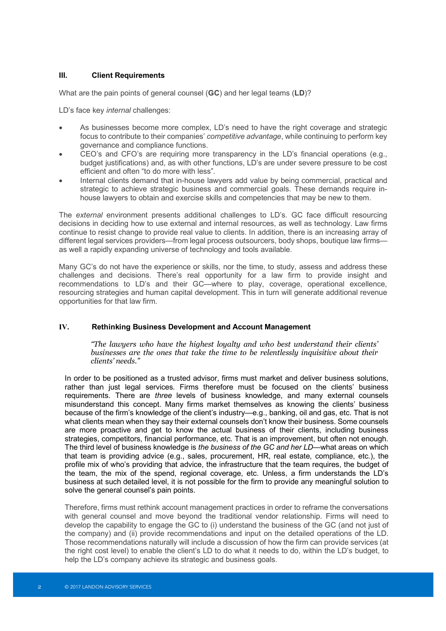### **III. Client Requirements**

What are the pain points of general counsel (**GC**) and her legal teams (**LD**)?

LD's face key *internal* challenges:

- As businesses become more complex, LD's need to have the right coverage and strategic focus to contribute to their companies' *competitive advantage*, while continuing to perform key governance and compliance functions.
- CEO's and CFO's are requiring more transparency in the LD's financial operations (e.g., budget justifications) and, as with other functions, LD's are under severe pressure to be cost efficient and often "to do more with less".
- Internal clients demand that in-house lawyers add value by being commercial, practical and strategic to achieve strategic business and commercial goals. These demands require inhouse lawyers to obtain and exercise skills and competencies that may be new to them.

The *external* environment presents additional challenges to LD's. GC face difficult resourcing decisions in deciding how to use external and internal resources, as well as technology. Law firms continue to resist change to provide real value to clients. In addition, there is an increasing array of different legal services providers—from legal process outsourcers, body shops, boutique law firms as well a rapidly expanding universe of technology and tools available.

Many GC's do not have the experience or skills, nor the time, to study, assess and address these challenges and decisions. There's real opportunity for a law firm to provide insight and recommendations to LD's and their GC—where to play, coverage, operational excellence, resourcing strategies and human capital development. This in turn will generate additional revenue opportunities for that law firm.

#### **IV. Rethinking Business Development and Account Management**

*"The lawyers who have the highest loyalty and who best understand their clients' businesses are the ones that take the time to be relentlessly inquisitive about their clients' needs."*

In order to be positioned as a trusted advisor, firms must market and deliver business solutions, rather than just legal services. Firms therefore must be focused on the clients' business requirements. There are *three* levels of business knowledge, and many external counsels misunderstand this concept. Many firms market themselves as knowing the clients' business because of the firm's knowledge of the client's industry—e.g., banking, oil and gas, etc. That is not what clients mean when they say their external counsels don't know their business. Some counsels are more proactive and get to know the actual business of their clients, including business strategies, competitors, financial performance, etc. That is an improvement, but often not enough. The third level of business knowledge is *the business of the GC and her LD*—what areas on which that team is providing advice (e.g., sales, procurement, HR, real estate, compliance, etc.), the profile mix of who's providing that advice, the infrastructure that the team requires, the budget of the team, the mix of the spend, regional coverage, etc. Unless, a firm understands the LD's business at such detailed level, it is not possible for the firm to provide any meaningful solution to solve the general counsel's pain points.

Therefore, firms must rethink account management practices in order to reframe the conversations with general counsel and move beyond the traditional vendor relationship. Firms will need to develop the capability to engage the GC to (i) understand the business of the GC (and not just of the company) and (ii) provide recommendations and input on the detailed operations of the LD. Those recommendations naturally will include a discussion of how the firm can provide services (at the right cost level) to enable the client's LD to do what it needs to do, within the LD's budget, to help the LD's company achieve its strategic and business goals.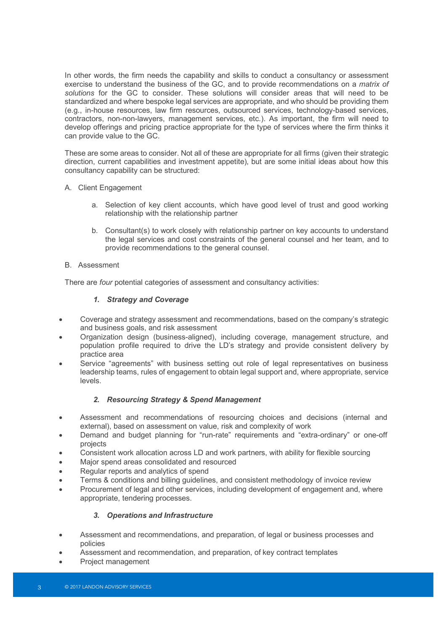In other words, the firm needs the capability and skills to conduct a consultancy or assessment exercise to understand the business of the GC, and to provide recommendations on a *matrix of solutions* for the GC to consider. These solutions will consider areas that will need to be standardized and where bespoke legal services are appropriate, and who should be providing them (e.g., in-house resources, law firm resources, outsourced services, technology-based services, contractors, non-non-lawyers, management services, etc.). As important, the firm will need to develop offerings and pricing practice appropriate for the type of services where the firm thinks it can provide value to the GC.

These are some areas to consider. Not all of these are appropriate for all firms (given their strategic direction, current capabilities and investment appetite), but are some initial ideas about how this consultancy capability can be structured:

### A. Client Engagement

- a. Selection of key client accounts, which have good level of trust and good working relationship with the relationship partner
- b. Consultant(s) to work closely with relationship partner on key accounts to understand the legal services and cost constraints of the general counsel and her team, and to provide recommendations to the general counsel.

### B. Assessment

There are *four* potential categories of assessment and consultancy activities:

# *1. Strategy and Coverage*

- Coverage and strategy assessment and recommendations, based on the company's strategic and business goals, and risk assessment
- Organization design (business-aligned), including coverage, management structure, and population profile required to drive the LD's strategy and provide consistent delivery by practice area
- Service "agreements" with business setting out role of legal representatives on business leadership teams, rules of engagement to obtain legal support and, where appropriate, service levels.

# *2. Resourcing Strategy & Spend Management*

- Assessment and recommendations of resourcing choices and decisions (internal and external), based on assessment on value, risk and complexity of work
- Demand and budget planning for "run-rate" requirements and "extra-ordinary" or one-off projects
- Consistent work allocation across LD and work partners, with ability for flexible sourcing
- Major spend areas consolidated and resourced
- Regular reports and analytics of spend
- Terms & conditions and billing guidelines, and consistent methodology of invoice review
- Procurement of legal and other services, including development of engagement and, where appropriate, tendering processes.

# *3. Operations and Infrastructure*

- Assessment and recommendations, and preparation, of legal or business processes and policies
- Assessment and recommendation, and preparation, of key contract templates
- Project management